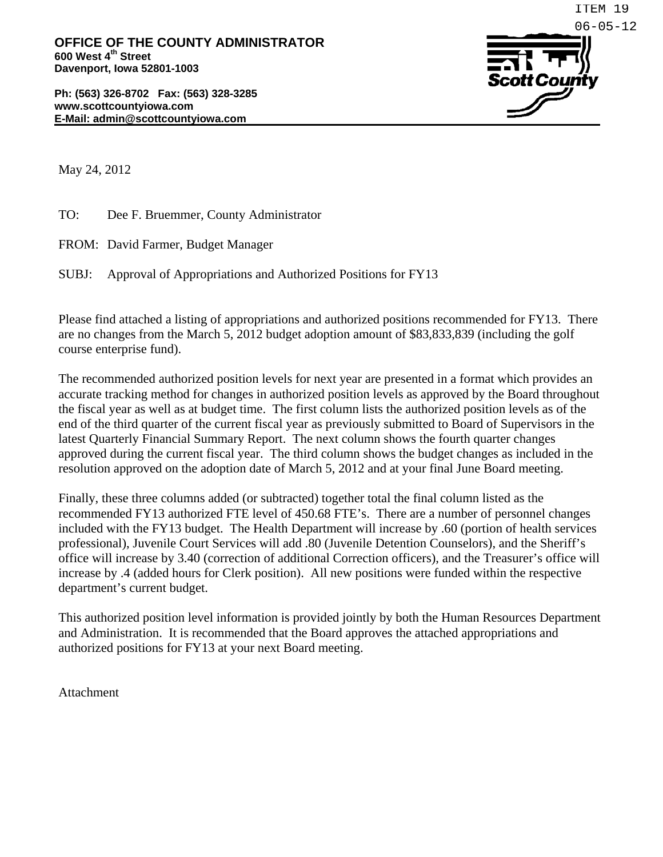**Ph: (563) 326-8702 Fax: (563) 328-3285 www.scottcountyiowa.com E-Mail: admin@scottcountyiowa.com** 



May 24, 2012

TO: Dee F. Bruemmer, County Administrator

FROM: David Farmer, Budget Manager

SUBJ: Approval of Appropriations and Authorized Positions for FY13

Please find attached a listing of appropriations and authorized positions recommended for FY13. There are no changes from the March 5, 2012 budget adoption amount of \$83,833,839 (including the golf course enterprise fund).

The recommended authorized position levels for next year are presented in a format which provides an accurate tracking method for changes in authorized position levels as approved by the Board throughout the fiscal year as well as at budget time. The first column lists the authorized position levels as of the end of the third quarter of the current fiscal year as previously submitted to Board of Supervisors in the latest Quarterly Financial Summary Report. The next column shows the fourth quarter changes approved during the current fiscal year. The third column shows the budget changes as included in the resolution approved on the adoption date of March 5, 2012 and at your final June Board meeting.

Finally, these three columns added (or subtracted) together total the final column listed as the recommended FY13 authorized FTE level of 450.68 FTE's. There are a number of personnel changes included with the FY13 budget. The Health Department will increase by .60 (portion of health services professional), Juvenile Court Services will add .80 (Juvenile Detention Counselors), and the Sheriff's office will increase by 3.40 (correction of additional Correction officers), and the Treasurer's office will increase by .4 (added hours for Clerk position). All new positions were funded within the respective department's current budget.

This authorized position level information is provided jointly by both the Human Resources Department and Administration. It is recommended that the Board approves the attached appropriations and authorized positions for FY13 at your next Board meeting.

Attachment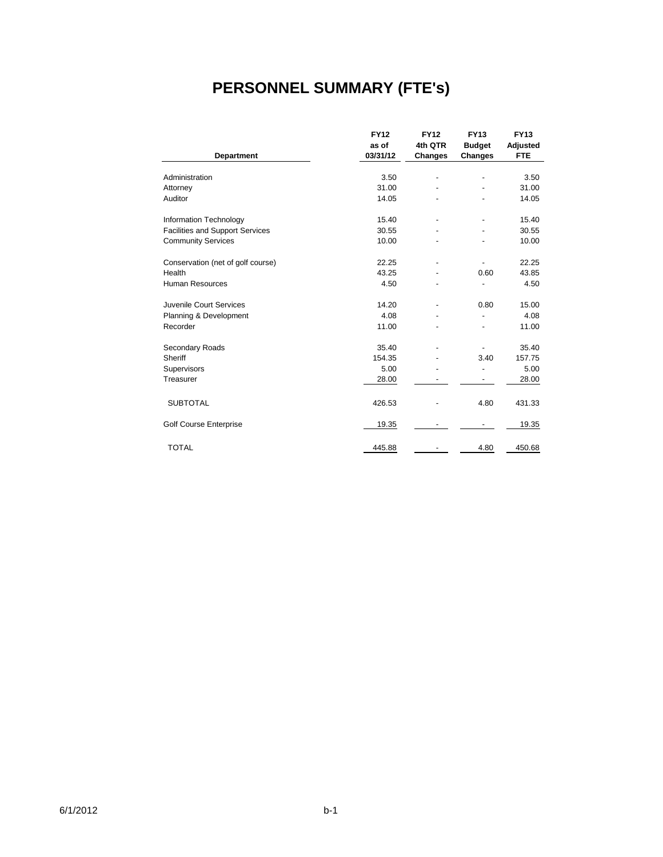# **PERSONNEL SUMMARY (FTE's)**

|                                        | <b>FY12</b> | <b>FY12</b>              | <b>FY13</b>    | <b>FY13</b> |
|----------------------------------------|-------------|--------------------------|----------------|-------------|
|                                        | as of       | 4th QTR                  | <b>Budget</b>  | Adjusted    |
| Department                             | 03/31/12    | Changes                  | <b>Changes</b> | <b>FTE</b>  |
|                                        |             |                          |                |             |
| Administration                         | 3.50        | $\overline{\phantom{a}}$ |                | 3.50        |
| Attorney                               | 31.00       |                          |                | 31.00       |
| Auditor                                | 14.05       |                          |                | 14.05       |
| Information Technology                 | 15.40       | $\overline{\phantom{a}}$ |                | 15.40       |
| <b>Facilities and Support Services</b> | 30.55       |                          |                | 30.55       |
| <b>Community Services</b>              | 10.00       |                          |                | 10.00       |
| Conservation (net of golf course)      | 22.25       | $\overline{\phantom{a}}$ |                | 22.25       |
| Health                                 | 43.25       |                          | 0.60           | 43.85       |
| <b>Human Resources</b>                 | 4.50        |                          |                | 4.50        |
| Juvenile Court Services                | 14.20       |                          | 0.80           | 15.00       |
| Planning & Development                 | 4.08        |                          |                | 4.08        |
| Recorder                               | 11.00       |                          |                | 11.00       |
| Secondary Roads                        | 35.40       |                          |                | 35.40       |
| Sheriff                                | 154.35      |                          | 3.40           | 157.75      |
| Supervisors                            | 5.00        |                          |                | 5.00        |
| Treasurer                              | 28.00       |                          |                | 28.00       |
| <b>SUBTOTAL</b>                        | 426.53      |                          | 4.80           | 431.33      |
| <b>Golf Course Enterprise</b>          | 19.35       |                          |                | 19.35       |
| <b>TOTAL</b>                           | 445.88      |                          | 4.80           | 450.68      |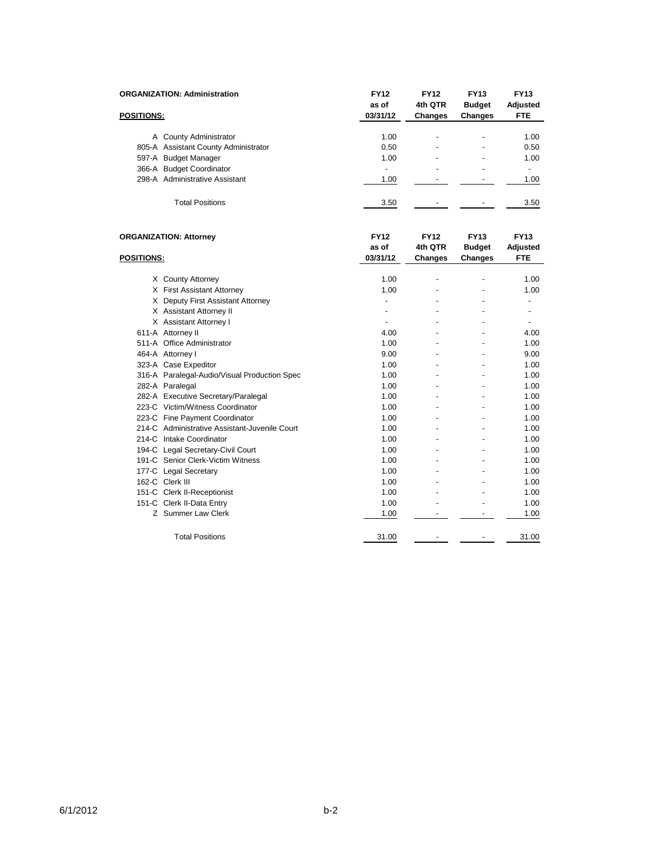|                   | <b>ORGANIZATION: Administration</b>           | <b>FY12</b><br>as of | <b>FY12</b><br>4th QTR | <b>FY13</b><br><b>Budget</b> | <b>FY13</b><br><b>Adjusted</b> |
|-------------------|-----------------------------------------------|----------------------|------------------------|------------------------------|--------------------------------|
| <b>POSITIONS:</b> |                                               | 03/31/12             | <b>Changes</b>         | <b>Changes</b>               | FTE                            |
|                   | A County Administrator                        | 1.00                 |                        |                              | 1.00                           |
|                   | 805-A Assistant County Administrator          | 0.50                 |                        |                              | 0.50                           |
|                   | 597-A Budget Manager                          | 1.00                 |                        |                              | 1.00                           |
|                   | 366-A Budget Coordinator                      | $\blacksquare$       |                        |                              | ÷.                             |
|                   | 298-A Administrative Assistant                | 1.00                 |                        |                              | 1.00                           |
|                   | <b>Total Positions</b>                        | 3.50                 |                        |                              | 3.50                           |
|                   | <b>ORGANIZATION: Attorney</b>                 | <b>FY12</b><br>as of | <b>FY12</b><br>4th QTR | <b>FY13</b><br><b>Budget</b> | <b>FY13</b><br>Adjusted        |
| <b>POSITIONS:</b> |                                               | 03/31/12             | Changes                | Changes                      | <b>FTE</b>                     |
|                   | X County Attorney                             | 1.00                 |                        |                              | 1.00                           |
|                   | X First Assistant Attorney                    | 1.00                 |                        |                              | 1.00                           |
|                   | X Deputy First Assistant Attorney             | $\overline{a}$       |                        |                              | $\overline{a}$                 |
|                   | X Assistant Attorney II                       | $\overline{a}$       |                        |                              | $\overline{a}$                 |
|                   | X Assistant Attorney I                        | $\overline{a}$       |                        |                              | $\overline{a}$                 |
|                   | 611-A Attorney II                             | 4.00                 |                        |                              | 4.00                           |
|                   | 511-A Office Administrator                    | 1.00                 |                        |                              | 1.00                           |
|                   | 464-A Attorney I                              | 9.00                 |                        | $\overline{a}$               | 9.00                           |
|                   | 323-A Case Expeditor                          | 1.00                 |                        |                              | 1.00                           |
|                   | 316-A Paralegal-Audio/Visual Production Spec  | 1.00                 |                        |                              | 1.00                           |
|                   | 282-A Paralegal                               | 1.00                 |                        |                              | 1.00                           |
|                   | 282-A Executive Secretary/Paralegal           | 1.00                 |                        | $\overline{a}$               | 1.00                           |
|                   | 223-C Victim/Witness Coordinator              | 1.00                 |                        |                              | 1.00                           |
|                   | 223-C Fine Payment Coordinator                | 1.00                 |                        |                              | 1.00                           |
|                   | 214-C Administrative Assistant-Juvenile Court | 1.00                 |                        |                              | 1.00                           |
|                   | 214-C Intake Coordinator                      | 1.00                 |                        | $\overline{a}$               | 1.00                           |
|                   | 194-C Legal Secretary-Civil Court             | 1.00                 |                        |                              | 1.00                           |
|                   | 191-C Senior Clerk-Victim Witness             | 1.00                 |                        |                              | 1.00                           |
|                   | 177-C Legal Secretary                         | 1.00                 |                        |                              | 1.00                           |
|                   | 162-C Clerk III                               | 1.00                 |                        |                              | 1.00                           |
|                   | 151-C Clerk II-Receptionist                   | 1.00                 |                        |                              | 1.00                           |
|                   | 151-C Clerk II-Data Entry                     | 1.00                 |                        |                              | 1.00                           |
|                   | Z Summer Law Clerk                            | 1.00                 |                        |                              | 1.00                           |
|                   | <b>Total Positions</b>                        | 31.00                |                        |                              | 31.00                          |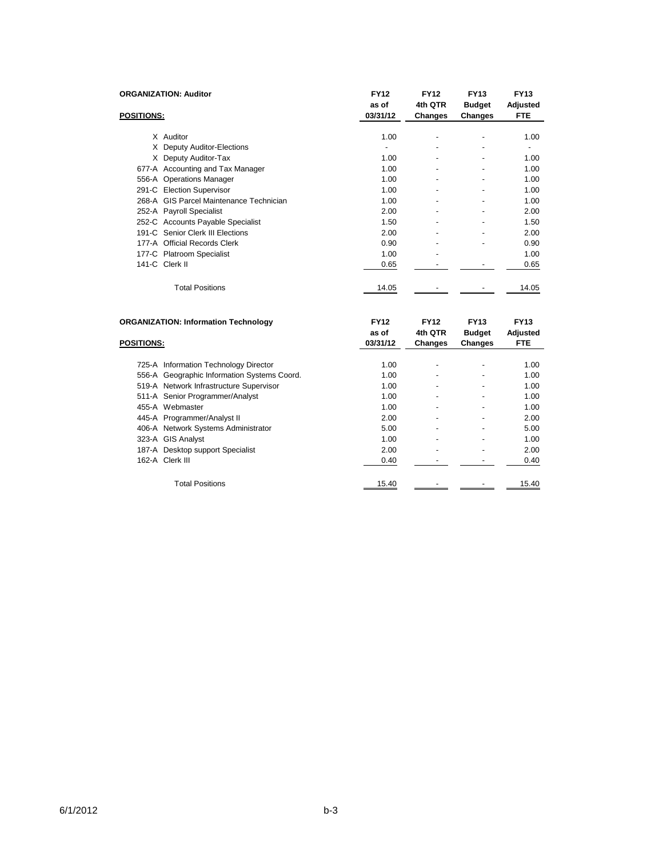|                   | <b>ORGANIZATION: Auditor</b>                | <b>FY12</b><br>as of | <b>FY12</b><br>4th QTR | <b>FY13</b><br><b>Budget</b> | <b>FY13</b><br>Adjusted |
|-------------------|---------------------------------------------|----------------------|------------------------|------------------------------|-------------------------|
| <b>POSITIONS:</b> |                                             | 03/31/12             | Changes                | Changes                      | <b>FTE</b>              |
|                   | X Auditor                                   | 1.00                 |                        |                              |                         |
|                   |                                             |                      |                        |                              | 1.00                    |
|                   | X Deputy Auditor-Elections                  |                      |                        |                              |                         |
|                   | X Deputy Auditor-Tax                        | 1.00                 |                        |                              | 1.00                    |
|                   | 677-A Accounting and Tax Manager            | 1.00                 |                        |                              | 1.00                    |
|                   | 556-A Operations Manager                    | 1.00                 |                        |                              | 1.00                    |
|                   | 291-C Election Supervisor                   | 1.00                 |                        |                              | 1.00                    |
|                   | 268-A GIS Parcel Maintenance Technician     | 1.00                 |                        |                              | 1.00                    |
|                   | 252-A Payroll Specialist                    | 2.00                 |                        |                              | 2.00                    |
|                   | 252-C Accounts Payable Specialist           | 1.50                 | $\blacksquare$         |                              | 1.50                    |
|                   | 191-C Senior Clerk III Elections            | 2.00                 |                        |                              | 2.00                    |
|                   | 177-A Official Records Clerk                | 0.90                 |                        |                              | 0.90                    |
|                   | 177-C Platroom Specialist                   | 1.00                 |                        |                              | 1.00                    |
|                   | 141-C Clerk II                              | 0.65                 |                        |                              | 0.65                    |
|                   | <b>Total Positions</b>                      | 14.05                |                        |                              | 14.05                   |
|                   | <b>ORGANIZATION: Information Technology</b> | <b>FY12</b>          | <b>FY12</b>            | <b>FY13</b>                  | <b>FY13</b>             |
| <b>POSITIONS:</b> |                                             | as of<br>03/31/12    | 4th QTR<br>Changes     | <b>Budget</b><br>Changes     | Adjusted<br><b>FTE</b>  |

| <b>POSITIONS:</b> |                                             | as of<br>03/31/12 | 4th Q.I.R<br>Changes     | <b>Budget</b><br>Changes | Adjusted<br>FTE. |
|-------------------|---------------------------------------------|-------------------|--------------------------|--------------------------|------------------|
|                   |                                             |                   |                          |                          |                  |
|                   | 725-A Information Technology Director       | 1.00              |                          | $\blacksquare$           | 1.00             |
|                   | 556-A Geographic Information Systems Coord. | 1.00              | $\overline{\phantom{0}}$ | $\blacksquare$           | 1.00             |
|                   | 519-A Network Infrastructure Supervisor     | 1.00              |                          |                          | 1.00             |
|                   | 511-A Senior Programmer/Analyst             | 1.00              | $\blacksquare$           | $\blacksquare$           | 1.00             |
|                   | 455-A Webmaster                             | 1.00              |                          |                          | 1.00             |
|                   | 445-A Programmer/Analyst II                 | 2.00              |                          |                          | 2.00             |
|                   | 406-A Network Systems Administrator         | 5.00              |                          |                          | 5.00             |
|                   | 323-A GIS Analyst                           | 1.00              | $\blacksquare$           |                          | 1.00             |
|                   | 187-A Desktop support Specialist            | 2.00              | $\blacksquare$           | $\blacksquare$           | 2.00             |
|                   | 162-A Clerk III                             | 0.40              |                          |                          | 0.40             |
|                   | <b>Total Positions</b>                      | 15.40             |                          |                          | 15.40            |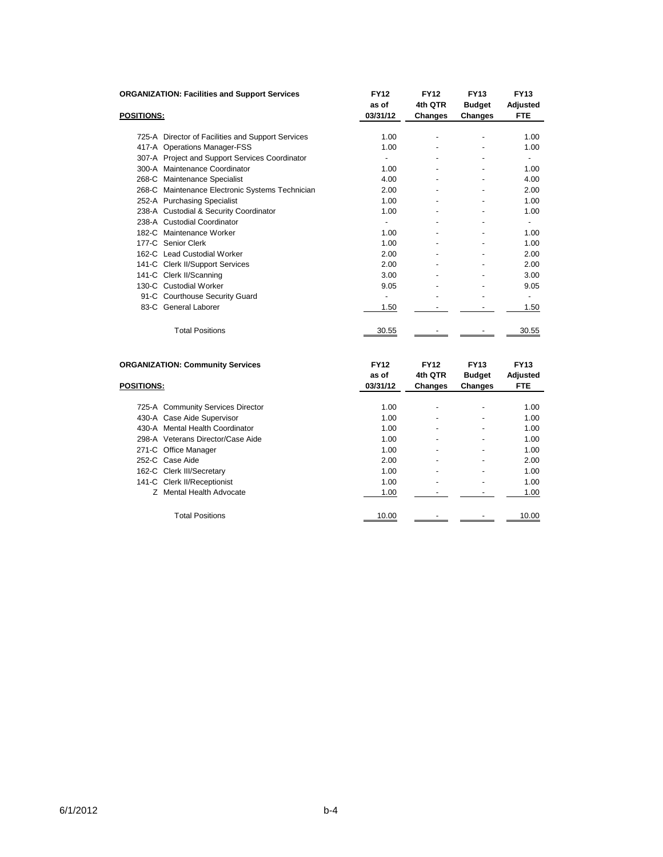|                   | <b>ORGANIZATION: Facilities and Support Services</b> | <b>FY12</b><br>as of     | <b>FY12</b><br>4th QTR | <b>FY13</b><br><b>Budget</b> | <b>FY13</b><br>Adjusted        |
|-------------------|------------------------------------------------------|--------------------------|------------------------|------------------------------|--------------------------------|
| <b>POSITIONS:</b> |                                                      | 03/31/12                 | Changes                | <b>Changes</b>               | <b>FTE</b>                     |
|                   | 725-A Director of Facilities and Support Services    | 1.00                     | ٠                      | ٠                            | 1.00                           |
|                   | 417-A Operations Manager-FSS                         | 1.00                     |                        |                              | 1.00                           |
|                   | 307-A Project and Support Services Coordinator       | $\blacksquare$           |                        |                              | $\overline{\phantom{0}}$       |
|                   | 300-A Maintenance Coordinator                        | 1.00                     |                        |                              | 1.00                           |
|                   | 268-C Maintenance Specialist                         | 4.00                     |                        |                              | 4.00                           |
|                   | 268-C Maintenance Electronic Systems Technician      | 2.00                     |                        |                              | 2.00                           |
|                   | 252-A Purchasing Specialist                          | 1.00                     |                        |                              | 1.00                           |
|                   | 238-A Custodial & Security Coordinator               | 1.00                     |                        |                              | 1.00                           |
|                   | 238-A Custodial Coordinator                          | $\overline{\phantom{a}}$ | ٠                      | $\overline{\phantom{a}}$     | -                              |
|                   | 182-C Maintenance Worker                             | 1.00                     |                        |                              | 1.00                           |
|                   | 177-C Senior Clerk                                   | 1.00                     |                        |                              | 1.00                           |
|                   | 162-C Lead Custodial Worker                          | 2.00                     |                        |                              | 2.00                           |
|                   | 141-C Clerk II/Support Services                      | 2.00                     |                        |                              | 2.00                           |
|                   | 141-C Clerk II/Scanning                              | 3.00                     |                        |                              | 3.00                           |
|                   | 130-C Custodial Worker                               | 9.05                     |                        |                              | 9.05                           |
|                   | 91-C Courthouse Security Guard                       | $\overline{\phantom{a}}$ |                        |                              |                                |
|                   | 83-C General Laborer                                 | 1.50                     |                        |                              | 1.50                           |
|                   | <b>Total Positions</b>                               | 30.55                    |                        |                              | 30.55                          |
|                   | <b>ORGANIZATION: Community Services</b>              | <b>FY12</b><br>as of     | <b>FY12</b><br>4th QTR | <b>FY13</b><br><b>Budget</b> | <b>FY13</b><br><b>Adjusted</b> |

| <b>POSITIONS:</b> |                                   | 03/31/12 | Changes | Changes | <b>FTE</b> |
|-------------------|-----------------------------------|----------|---------|---------|------------|
|                   |                                   |          |         |         |            |
|                   | 725-A Community Services Director | 1.00     | ٠       | ۰       | 1.00       |
|                   | 430-A Case Aide Supervisor        | 1.00     |         |         | 1.00       |
|                   | 430-A Mental Health Coordinator   | 1.00     |         |         | 1.00       |
|                   | 298-A Veterans Director/Case Aide | 1.00     | -       | -       | 1.00       |
|                   | 271-C Office Manager              | 1.00     |         |         | 1.00       |
|                   | 252-C Case Aide                   | 2.00     |         |         | 2.00       |
|                   | 162-C Clerk III/Secretary         | 1.00     | -       | ٠       | 1.00       |
|                   | 141-C Clerk II/Receptionist       | 1.00     |         |         | 1.00       |
|                   | Z Mental Health Advocate          | 1.00     |         |         | 1.00       |
|                   | <b>Total Positions</b>            | 10.00    |         |         | 10.00      |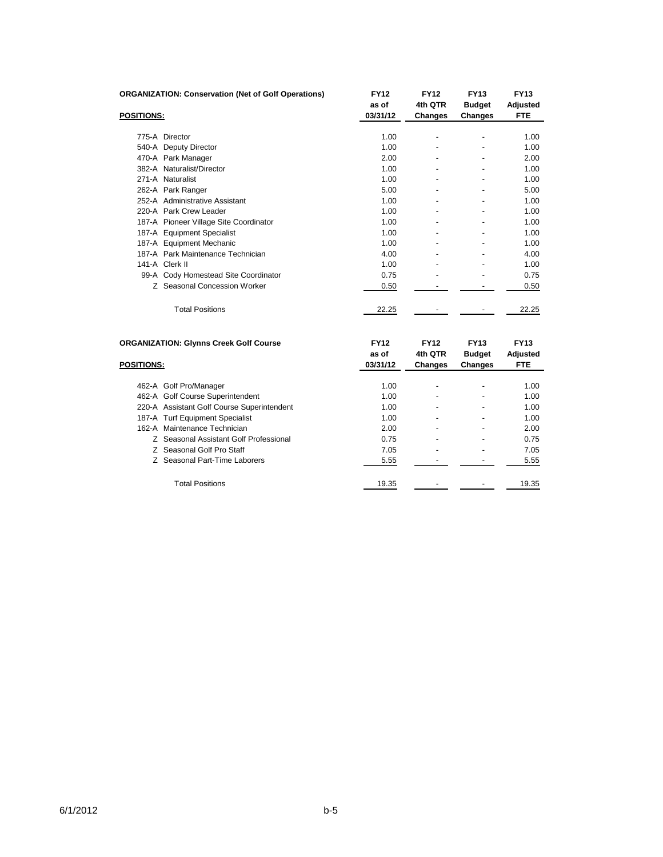|                   | <b>ORGANIZATION: Conservation (Net of Golf Operations)</b> | <b>FY12</b><br>as of | <b>FY12</b><br>4th QTR | <b>FY13</b><br><b>Budget</b> | <b>FY13</b><br>Adjusted |
|-------------------|------------------------------------------------------------|----------------------|------------------------|------------------------------|-------------------------|
| <b>POSITIONS:</b> |                                                            | 03/31/12             | Changes                | <b>Changes</b>               | <b>FTE</b>              |
|                   |                                                            |                      |                        |                              |                         |
|                   | 775-A Director                                             | 1.00                 |                        |                              | 1.00                    |
|                   | 540-A Deputy Director                                      | 1.00                 |                        |                              | 1.00                    |
|                   | 470-A Park Manager                                         | 2.00                 | $\blacksquare$         | $\blacksquare$               | 2.00                    |
|                   | 382-A Naturalist/Director                                  | 1.00                 |                        | $\overline{a}$               | 1.00                    |
|                   | 271-A Naturalist                                           | 1.00                 |                        |                              | 1.00                    |
|                   | 262-A Park Ranger                                          | 5.00                 |                        |                              | 5.00                    |
|                   | 252-A Administrative Assistant                             | 1.00                 |                        | -                            | 1.00                    |
|                   | 220-A Park Crew Leader                                     | 1.00                 |                        | $\overline{a}$               | 1.00                    |
|                   | 187-A Pioneer Village Site Coordinator                     | 1.00                 |                        |                              | 1.00                    |
|                   | 187-A Equipment Specialist                                 | 1.00                 |                        |                              | 1.00                    |
|                   | 187-A Equipment Mechanic                                   | 1.00                 |                        |                              | 1.00                    |
|                   | 187-A Park Maintenance Technician                          | 4.00                 | $\blacksquare$         | $\blacksquare$               | 4.00                    |
|                   | 141-A Clerk II                                             | 1.00                 |                        |                              | 1.00                    |
|                   | 99-A Cody Homestead Site Coordinator                       | 0.75                 |                        |                              | 0.75                    |
|                   | Z Seasonal Concession Worker                               | 0.50                 |                        |                              | 0.50                    |
|                   | <b>Total Positions</b>                                     | 22.25                |                        |                              | 22.25                   |
|                   |                                                            |                      |                        |                              |                         |

|                   | <b>ORGANIZATION: Glynns Creek Golf Course</b> | <b>FY12</b>       | <b>FY12</b>              | <b>FY13</b>                     | <b>FY13</b>            |
|-------------------|-----------------------------------------------|-------------------|--------------------------|---------------------------------|------------------------|
| <b>POSITIONS:</b> |                                               | as of<br>03/31/12 | 4th QTR<br>Changes       | <b>Budget</b><br><b>Changes</b> | Adjusted<br><b>FTE</b> |
|                   | 462-A Golf Pro/Manager                        | 1.00              | $\blacksquare$           | $\overline{\phantom{0}}$        | 1.00                   |
|                   | 462-A Golf Course Superintendent              | 1.00              | $\blacksquare$           | $\overline{\phantom{0}}$        | 1.00                   |
|                   | 220-A Assistant Golf Course Superintendent    | 1.00              |                          | ٠                               | 1.00                   |
|                   | 187-A Turf Equipment Specialist               | 1.00              | $\overline{\phantom{a}}$ | $\overline{\phantom{0}}$        | 1.00                   |
|                   | 162-A Maintenance Technician                  | 2.00              | $\overline{\phantom{a}}$ | -                               | 2.00                   |
|                   | Z Seasonal Assistant Golf Professional        | 0.75              | $\blacksquare$           | -                               | 0.75                   |
|                   | Z Seasonal Golf Pro Staff                     | 7.05              | $\overline{\phantom{a}}$ | $\overline{\phantom{0}}$        | 7.05                   |
|                   | Z Seasonal Part-Time Laborers                 | 5.55              |                          |                                 | 5.55                   |
|                   | <b>Total Positions</b>                        | 19.35             |                          |                                 | 19.35                  |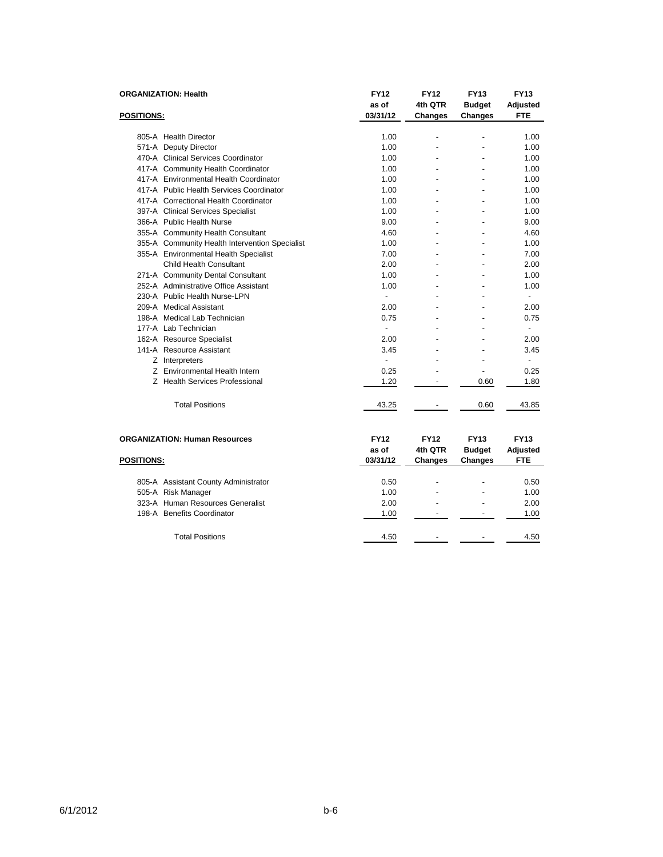| <b>POSITIONS:</b> | <b>ORGANIZATION: Health</b>                    | <b>FY12</b><br>as of<br>03/31/12 | <b>FY12</b><br>4th QTR<br>Changes        | <b>FY13</b><br><b>Budget</b><br><b>Changes</b> | <b>FY13</b><br>Adjusted<br><b>FTE</b>        |
|-------------------|------------------------------------------------|----------------------------------|------------------------------------------|------------------------------------------------|----------------------------------------------|
|                   | 805-A Health Director                          | 1.00                             |                                          |                                                | 1.00                                         |
|                   | 571-A Deputy Director                          | 1.00                             |                                          |                                                | 1.00                                         |
|                   | 470-A Clinical Services Coordinator            | 1.00                             |                                          |                                                | 1.00                                         |
|                   | 417-A Community Health Coordinator             | 1.00                             |                                          |                                                | 1.00                                         |
|                   | 417-A Environmental Health Coordinator         | 1.00                             |                                          |                                                | 1.00                                         |
|                   | 417-A Public Health Services Coordinator       | 1.00                             |                                          |                                                | 1.00                                         |
|                   | 417-A Correctional Health Coordinator          | 1.00                             |                                          |                                                | 1.00                                         |
|                   | 397-A Clinical Services Specialist             | 1.00                             |                                          |                                                | 1.00                                         |
|                   | 366-A Public Health Nurse                      | 9.00                             |                                          |                                                | 9.00                                         |
|                   | 355-A Community Health Consultant              | 4.60                             |                                          |                                                | 4.60                                         |
|                   | 355-A Community Health Intervention Specialist | 1.00                             |                                          |                                                | 1.00                                         |
|                   | 355-A Environmental Health Specialist          | 7.00                             |                                          |                                                | 7.00                                         |
|                   | Child Health Consultant                        | 2.00                             |                                          |                                                | 2.00                                         |
|                   | 271-A Community Dental Consultant              | 1.00                             |                                          |                                                | 1.00                                         |
|                   | 252-A Administrative Office Assistant          | 1.00                             |                                          |                                                | 1.00                                         |
|                   | 230-A Public Health Nurse-LPN                  |                                  |                                          |                                                | ٠                                            |
|                   | 209-A Medical Assistant                        | 2.00                             |                                          |                                                | 2.00                                         |
|                   | 198-A Medical Lab Technician                   | 0.75                             |                                          |                                                | 0.75                                         |
|                   | 177-A Lab Technician                           | $\overline{a}$                   |                                          |                                                | ٠                                            |
|                   | 162-A Resource Specialist                      | 2.00                             |                                          |                                                | 2.00                                         |
|                   | 141-A Resource Assistant                       | 3.45                             |                                          |                                                | 3.45                                         |
|                   | Z Interpreters                                 | $\overline{\phantom{a}}$         |                                          |                                                | ٠                                            |
|                   | Z Environmental Health Intern                  | 0.25                             |                                          | $\overline{a}$                                 | 0.25                                         |
|                   | Z Health Services Professional                 | 1.20                             |                                          | 0.60                                           | 1.80                                         |
|                   | <b>Total Positions</b>                         | 43.25                            |                                          | 0.60                                           | 43.85                                        |
| <b>POSITIONS:</b> | <b>ORGANIZATION: Human Resources</b>           | <b>FY12</b><br>as of<br>03/31/12 | <b>FY12</b><br>4th QTR<br><b>Changes</b> | <b>FY13</b><br><b>Budget</b><br><b>Changes</b> | <b>FY13</b><br><b>Adjusted</b><br><b>FTE</b> |

| 805-A Assistant County Administrator | 0.50 |                          | 0.50 |
|--------------------------------------|------|--------------------------|------|
| 505-A Risk Manager                   | 1.00 | $\overline{\phantom{a}}$ | 1.00 |
| 323-A Human Resources Generalist     | 2.00 | $\overline{\phantom{a}}$ | 2.00 |
| 198-A Benefits Coordinator           | 1.00 | $\overline{\phantom{a}}$ | 1.00 |
|                                      |      |                          |      |
| <b>Total Positions</b>               | 4.50 |                          | 4.50 |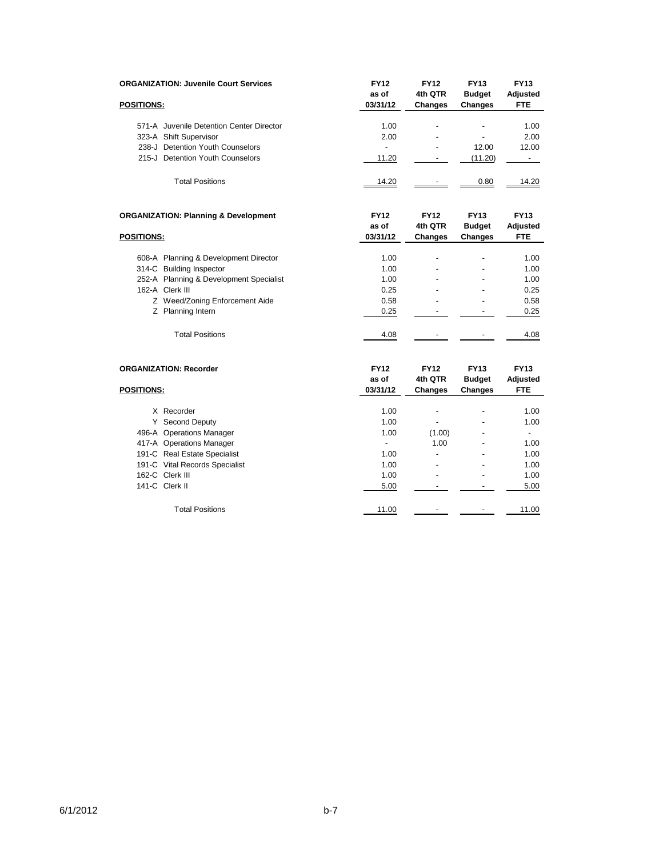| <b>ORGANIZATION: Juvenile Court Services</b>    | <b>FY12</b><br>as of | <b>FY12</b><br>4th QTR | <b>FY13</b><br><b>Budget</b> | <b>FY13</b><br>Adjusted        |
|-------------------------------------------------|----------------------|------------------------|------------------------------|--------------------------------|
| <b>POSITIONS:</b>                               | 03/31/12             | <b>Changes</b>         | <b>Changes</b>               | <b>FTE</b>                     |
| 571-A Juvenile Detention Center Director        | 1.00                 | $\overline{a}$         | $\overline{a}$               | 1.00                           |
| 323-A Shift Supervisor                          | 2.00                 |                        |                              | 2.00                           |
| 238-J Detention Youth Counselors                | ÷,                   |                        | 12.00                        | 12.00                          |
| 215-J Detention Youth Counselors                | 11.20                | $\blacksquare$         | (11.20)                      | $\sim$                         |
| <b>Total Positions</b>                          | 14.20                |                        | 0.80                         | 14.20                          |
| <b>ORGANIZATION: Planning &amp; Development</b> | <b>FY12</b><br>as of | <b>FY12</b><br>4th QTR | <b>FY13</b><br><b>Budget</b> | <b>FY13</b><br><b>Adjusted</b> |
| <b>POSITIONS:</b>                               | 03/31/12             | <b>Changes</b>         | Changes                      | <b>FTE</b>                     |
| 608-A Planning & Development Director           | 1.00                 |                        |                              | 1.00                           |
| 314-C Building Inspector                        | 1.00                 |                        |                              | 1.00                           |
| 252-A Planning & Development Specialist         | 1.00                 |                        |                              | 1.00                           |
| 162-A Clerk III                                 | 0.25                 |                        | $\blacksquare$               | 0.25                           |
| Z Weed/Zoning Enforcement Aide                  | 0.58                 |                        |                              | 0.58                           |
| Z Planning Intern                               | 0.25                 | $\overline{a}$         | $\overline{\phantom{a}}$     | 0.25                           |
| <b>Total Positions</b>                          | 4.08                 |                        |                              | 4.08                           |
| <b>ORGANIZATION: Recorder</b>                   | <b>FY12</b>          | <b>FY12</b>            | <b>FY13</b>                  | <b>FY13</b>                    |
|                                                 | as of                | 4th QTR                | <b>Budget</b>                | <b>Adjusted</b>                |
| <b>POSITIONS:</b>                               | 03/31/12             | <b>Changes</b>         | <b>Changes</b>               | <b>FTE</b>                     |
| X Recorder                                      | 1.00                 |                        |                              | 1.00                           |
| Y Second Deputy                                 | 1.00                 |                        |                              | 1.00                           |
| 496-A Operations Manager                        | 1.00                 | (1.00)                 |                              | $\blacksquare$                 |
| 417-A Operations Manager                        | $\blacksquare$       | 1.00                   |                              | 1.00                           |
| 191-C Real Estate Specialist                    | 1.00                 | $\overline{a}$         |                              | 1.00                           |
| 191-C Vital Records Specialist                  | 1.00                 | ٠                      |                              | 1.00                           |
| 162-C Clerk III                                 | 1.00                 |                        |                              | 1.00                           |
| 141-C Clerk II                                  | 5.00                 | $\blacksquare$         | $\overline{\phantom{a}}$     | 5.00                           |
| <b>Total Positions</b>                          | 11.00                | $\overline{a}$         | ٠                            | 11.00                          |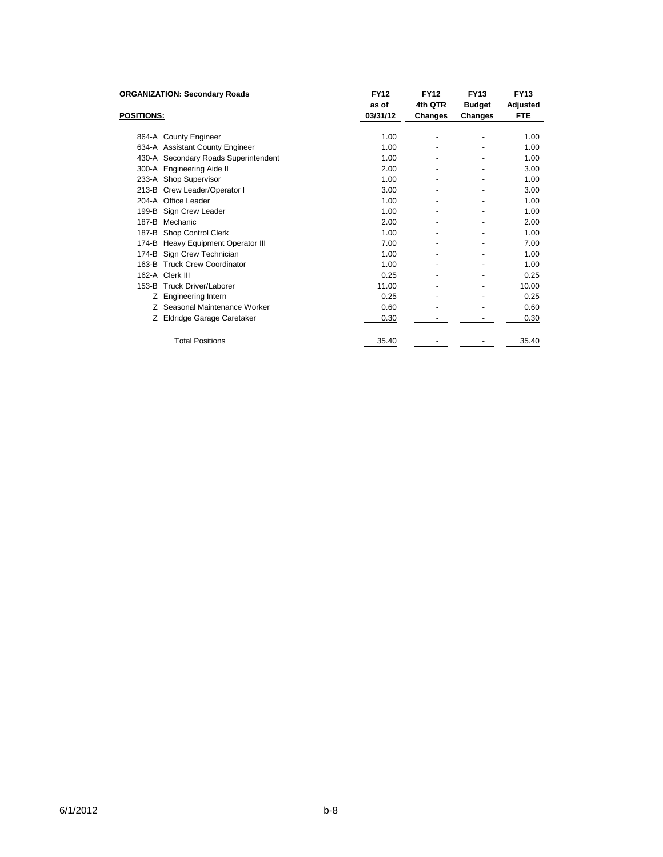| <b>ORGANIZATION: Secondary Roads</b> | <b>FY12</b> | <b>FY12</b>              | <b>FY13</b>    | <b>FY13</b>     |
|--------------------------------------|-------------|--------------------------|----------------|-----------------|
|                                      | as of       | 4th QTR                  | <b>Budget</b>  | <b>Adjusted</b> |
| <b>POSITIONS:</b>                    | 03/31/12    | Changes                  | Changes        | <b>FTE</b>      |
|                                      |             |                          |                |                 |
| 864-A County Engineer                | 1.00        |                          |                | 1.00            |
| 634-A Assistant County Engineer      | 1.00        |                          |                | 1.00            |
| 430-A Secondary Roads Superintendent | 1.00        |                          |                | 1.00            |
| 300-A Engineering Aide II            | 2.00        |                          |                | 3.00            |
| 233-A Shop Supervisor                | 1.00        |                          |                | 1.00            |
| 213-B Crew Leader/Operator I         | 3.00        |                          |                | 3.00            |
| 204-A Office Leader                  | 1.00        |                          |                | 1.00            |
| Sign Crew Leader<br>199-B            | 1.00        |                          |                | 1.00            |
| Mechanic<br>187-B                    | 2.00        |                          |                | 2.00            |
| 187-B Shop Control Clerk             | 1.00        |                          |                | 1.00            |
| 174-B Heavy Equipment Operator III   | 7.00        |                          |                | 7.00            |
| 174-B Sign Crew Technician           | 1.00        |                          |                | 1.00            |
| 163-B Truck Crew Coordinator         | 1.00        |                          |                | 1.00            |
| 162-A Clerk III                      | 0.25        | $\overline{\phantom{a}}$ | $\blacksquare$ | 0.25            |
| 153-B Truck Driver/Laborer           | 11.00       |                          | ٠              | 10.00           |
| Engineering Intern<br>Z.             | 0.25        |                          |                | 0.25            |
| Seasonal Maintenance Worker<br>Z.    | 0.60        |                          |                | 0.60            |
| Z Eldridge Garage Caretaker          | 0.30        |                          |                | 0.30            |
| <b>Total Positions</b>               | 35.40       |                          |                | 35.40           |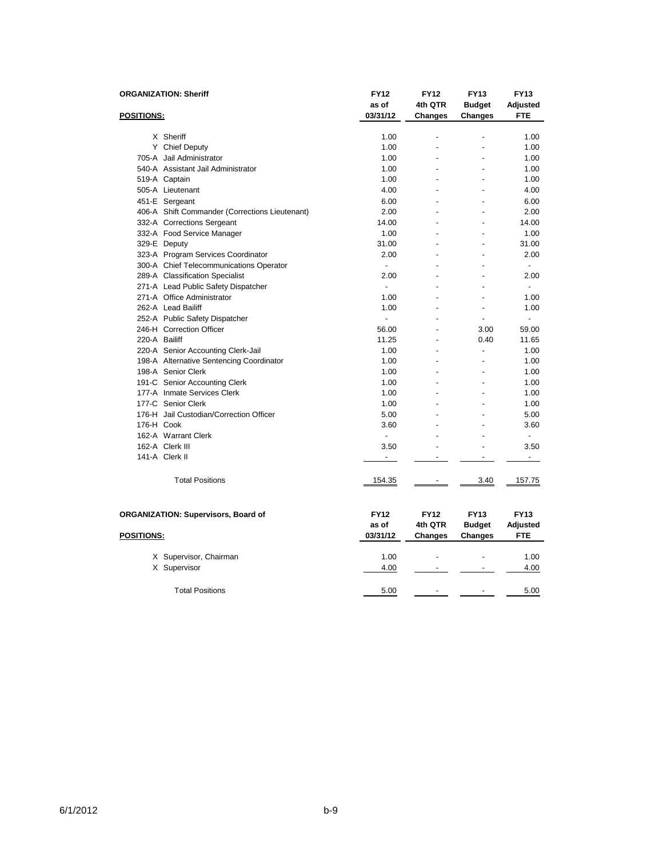| <b>ORGANIZATION: Sheriff</b>               |                                                | <b>FY12</b>              | <b>FY12</b>              | <b>FY13</b>    | <b>FY13</b>              |
|--------------------------------------------|------------------------------------------------|--------------------------|--------------------------|----------------|--------------------------|
|                                            |                                                | as of                    | 4th QTR                  | <b>Budget</b>  | Adjusted                 |
| <b>POSITIONS:</b>                          |                                                | 03/31/12                 | Changes                  | Changes        | <b>FTE</b>               |
|                                            |                                                |                          |                          |                |                          |
|                                            | X Sheriff                                      | 1.00                     | ÷,                       |                | 1.00                     |
|                                            | Y Chief Deputy                                 | 1.00                     |                          |                | 1.00                     |
|                                            | 705-A Jail Administrator                       | 1.00                     |                          |                | 1.00                     |
|                                            | 540-A Assistant Jail Administrator             | 1.00                     |                          |                | 1.00                     |
|                                            | 519-A Captain                                  | 1.00                     |                          |                | 1.00                     |
|                                            | 505-A Lieutenant                               | 4.00                     |                          |                | 4.00                     |
|                                            | 451-E Sergeant                                 | 6.00                     |                          |                | 6.00                     |
|                                            | 406-A Shift Commander (Corrections Lieutenant) | 2.00                     |                          |                | 2.00                     |
|                                            | 332-A Corrections Sergeant                     | 14.00                    |                          |                | 14.00                    |
|                                            | 332-A Food Service Manager                     | 1.00                     |                          |                | 1.00                     |
|                                            | 329-E Deputy                                   | 31.00                    |                          |                | 31.00                    |
|                                            | 323-A Program Services Coordinator             | 2.00                     |                          | $\overline{a}$ | 2.00                     |
|                                            | 300-A Chief Telecommunications Operator        | $\overline{a}$           |                          |                |                          |
|                                            | 289-A Classification Specialist                | 2.00                     |                          |                | 2.00                     |
|                                            | 271-A Lead Public Safety Dispatcher            | $\overline{a}$           |                          |                | $\overline{\phantom{a}}$ |
|                                            | 271-A Office Administrator                     | 1.00                     |                          | $\overline{a}$ | 1.00                     |
|                                            | 262-A Lead Bailiff                             | 1.00                     |                          |                | 1.00                     |
|                                            | 252-A Public Safety Dispatcher                 | $\overline{a}$           |                          | $\overline{a}$ | $\overline{a}$           |
|                                            | 246-H Correction Officer                       | 56.00                    |                          | 3.00           | 59.00                    |
| 220-A Bailiff                              |                                                | 11.25                    |                          | 0.40           | 11.65                    |
|                                            | 220-A Senior Accounting Clerk-Jail             | 1.00                     |                          | $\overline{a}$ | 1.00                     |
|                                            | 198-A Alternative Sentencing Coordinator       | 1.00                     |                          |                | 1.00                     |
|                                            | 198-A Senior Clerk                             | 1.00                     |                          | $\overline{a}$ | 1.00                     |
|                                            | 191-C Senior Accounting Clerk                  | 1.00                     |                          |                | 1.00                     |
|                                            | 177-A Inmate Services Clerk                    | 1.00                     |                          |                | 1.00                     |
|                                            | 177-C Senior Clerk                             |                          |                          |                | 1.00                     |
|                                            | 176-H Jail Custodian/Correction Officer        | 1.00<br>5.00             |                          |                | 5.00                     |
|                                            |                                                |                          |                          |                |                          |
| 176-H Cook                                 |                                                | 3.60                     |                          |                | 3.60<br>$\overline{a}$   |
|                                            | 162-A Warrant Clerk                            | $\blacksquare$           |                          |                |                          |
|                                            | 162-A Clerk III                                | 3.50                     | $\overline{\phantom{a}}$ |                | 3.50                     |
|                                            | 141-A Clerk II                                 | $\overline{\phantom{a}}$ | $\overline{a}$           | ÷.             | $\overline{\phantom{a}}$ |
|                                            | <b>Total Positions</b>                         | 154.35                   | $\overline{\phantom{a}}$ | 3.40           | 157.75                   |
|                                            |                                                |                          |                          |                |                          |
| <b>ORGANIZATION: Supervisors, Board of</b> |                                                | <b>FY12</b>              | <b>FY12</b>              | <b>FY13</b>    | <b>FY13</b>              |
|                                            |                                                | as of                    | 4th QTR                  | <b>Budget</b>  | <b>Adjusted</b>          |
| <b>POSITIONS:</b>                          |                                                | 03/31/12                 | Changes                  | <b>Changes</b> | <b>FTE</b>               |
|                                            | X Supervisor, Chairman                         | 1.00                     |                          |                | 1.00                     |
|                                            | X Supervisor                                   | 4.00                     |                          |                | 4.00                     |
|                                            |                                                |                          |                          |                |                          |
|                                            | <b>Total Positions</b>                         | 5.00                     |                          |                | 5.00                     |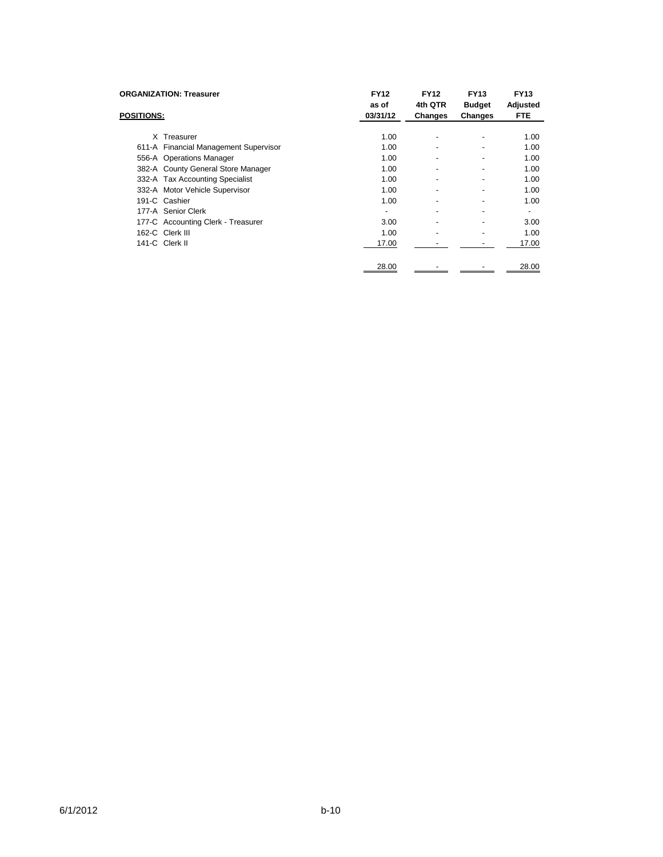| <b>ORGANIZATION: Treasurer</b>        | <b>FY12</b><br>as of | <b>FY12</b><br>4th QTR   | <b>FY13</b><br><b>Budget</b> | <b>FY13</b><br>Adjusted |
|---------------------------------------|----------------------|--------------------------|------------------------------|-------------------------|
| <b>POSITIONS:</b>                     | 03/31/12             | Changes                  | Changes                      | <b>FTE</b>              |
|                                       |                      |                          |                              |                         |
| X Treasurer                           | 1.00                 | $\overline{\phantom{a}}$ | -                            | 1.00                    |
| 611-A Financial Management Supervisor | 1.00                 | $\overline{\phantom{a}}$ | -                            | 1.00                    |
| 556-A Operations Manager              | 1.00                 |                          | -                            | 1.00                    |
| 382-A County General Store Manager    | 1.00                 | $\overline{\phantom{a}}$ | -                            | 1.00                    |
| 332-A Tax Accounting Specialist       | 1.00                 | ٠                        | $\blacksquare$               | 1.00                    |
| 332-A Motor Vehicle Supervisor        | 1.00                 | $\blacksquare$           | $\blacksquare$               | 1.00                    |
| 191-C Cashier                         | 1.00                 | $\overline{\phantom{a}}$ | -                            | 1.00                    |
| 177-A Senior Clerk                    | $\blacksquare$       | $\overline{\phantom{0}}$ | $\overline{\phantom{0}}$     |                         |
| 177-C Accounting Clerk - Treasurer    | 3.00                 | $\overline{\phantom{a}}$ | $\blacksquare$               | 3.00                    |
| 162-C Clerk III                       | 1.00                 | $\overline{\phantom{a}}$ | -                            | 1.00                    |
| 141-C Clerk II                        | 17.00                |                          |                              | 17.00                   |
|                                       | 28.00                |                          |                              | 28.00                   |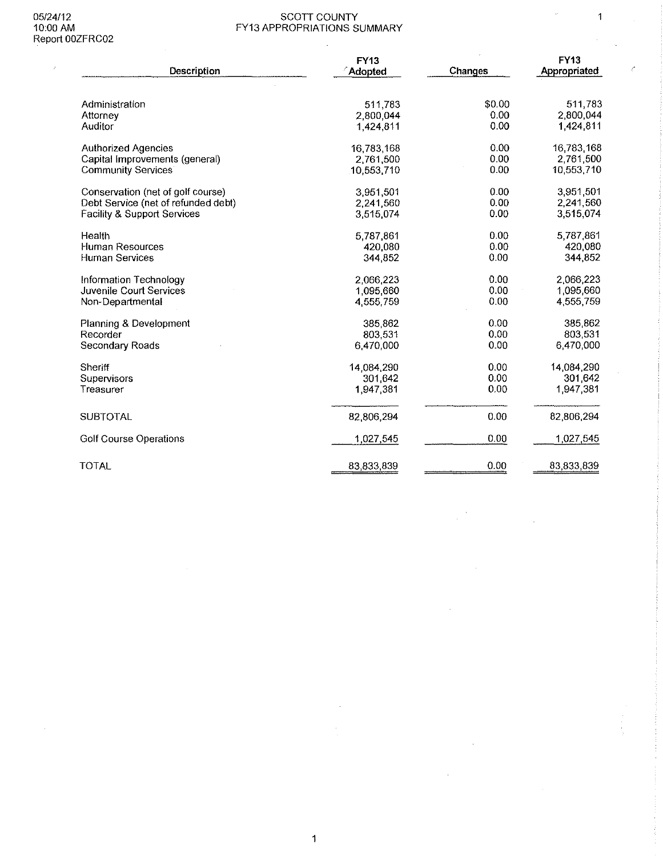$\sim 200$ 

#### 05/24/12 SCOTT COUNTY 10:00 AM FY13 APPROPRIATIONS SUMMARY

 $\mathcal{L}^{\mathcal{L}}$ 

 $\hat{\boldsymbol{\epsilon}}$ 

 $\sim$ 

 $\sim$ 

 $\sim 50$ 

 $\overline{1}$ 

 $\epsilon$ 

| Description                         | FY13<br><b>Adopted</b> | <b>Changes</b> | <b>FY13</b><br>Appropriated |
|-------------------------------------|------------------------|----------------|-----------------------------|
| Administration                      | 511783                 | \$0.00         | 511,783                     |
| Attorney                            | 2,800,044              | 0.00           | 2,800,044                   |
| Auditor                             | 1,424,811              | 0.00           | 1,424,811                   |
| <b>Authorized Agencies</b>          | 16,783,168             | 0.00           | 16,783,168                  |
| Capital Improvements (general)      | 2,761,500              | 0.00           | 2,761,500                   |
| <b>Community Services</b>           | 10,553,710             | 0.00           | 10,553,710                  |
| Conservation (net of golf course)   | 3,951,501              | 0.00           | 3,951,501                   |
| Debt Service (net of refunded debt) | 2,241,560              | 0.00           | 2,241.560                   |
| Facility & Support Services         | 3,515,074              | 0.00           | 3,515,074                   |
| Health                              | 5787861                | 0.00           | 5,787,861                   |
| <b>Human Resources</b>              | 420,080                | 0.00           | 420,080                     |
| <b>Human Services</b>               | 344 852                | 0.00           | 344,852                     |
| Information Technology              | 2.066.223              | 0.00           | 2.066.223                   |
| <b>Juvenile Court Services</b>      | 1.095.660              | 0.00           | 1,095,660                   |
| Non-Departmental                    | 4.555.759              | 0.00           | 4,555,759                   |
| Planning & Development              | 385 862                | 0.00           | 385,862                     |
| Recorder                            | 803.531                | 0.00           | 803.531                     |
| Secondary Roads                     | 6 470 000              | 0.00           | 6,470,000                   |
| Sheriff                             | 14,084,290             | 0.00           | 14,084,290                  |
| Supervisors                         | 301,642                | 0.00           | 301,642                     |
| Treasurer                           | 1.947.381              | 0.00           | 1,947,381                   |
| <b>SUBTOTAL</b>                     | 82,806,294             | 0.00           | 82,806,294                  |
| <b>Golf Course Operations</b>       | 1,027,545              | 0.00           | 1,027,545                   |
| <b>TOTAL</b>                        | 83,833,839             | 0.00           | 83,833,839                  |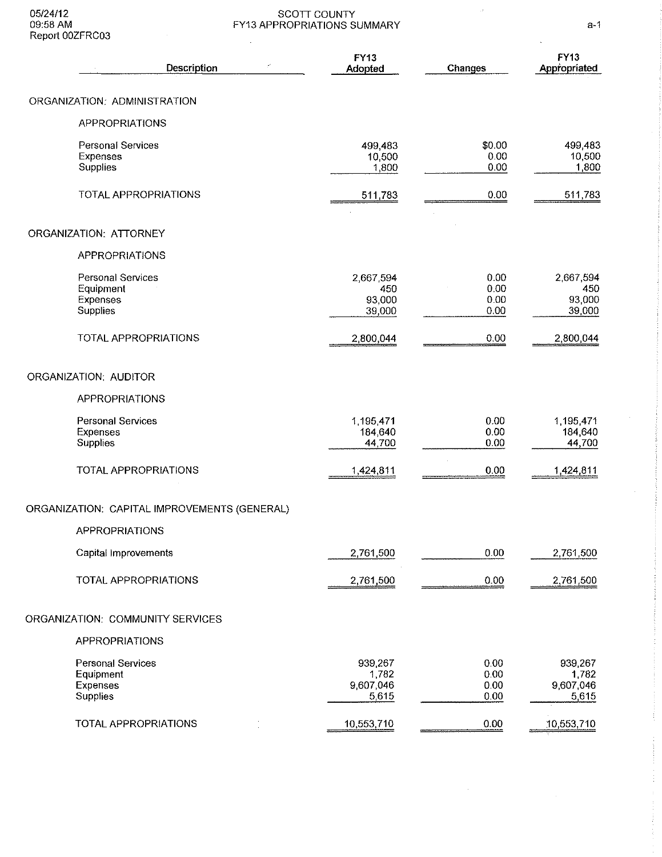#### 05/24/12 SCOTT COUNTY 09:58 AM FY13 APPROPRIATIONS SUMMARY a-1

| z,<br>Description                                             | <b>FY13</b><br>Adopted                 | Changes                      | <b>FY13</b><br>Appropriated            |
|---------------------------------------------------------------|----------------------------------------|------------------------------|----------------------------------------|
| ORGANIZATION: ADMINISTRATION                                  |                                        |                              |                                        |
| <b>APPROPRIATIONS</b>                                         |                                        |                              |                                        |
| <b>Personal Services</b><br>Expenses<br>Supplies              | 499,483<br>10,500<br>1,800             | \$0.00<br>0.00<br>0.00       | 499,483<br>10,500<br>1800              |
| <b>TOTAL APPROPRIATIONS</b>                                   | 511,783                                | 0.00                         | 511 783                                |
| ORGANIZATION: ATTORNEY                                        |                                        |                              |                                        |
| <b>APPROPRIATIONS</b>                                         |                                        |                              |                                        |
| <b>Personal Services</b><br>Equipment<br>Expenses<br>Supplies | 2,667,594<br>450<br>93,000<br>39,000   | 0.00<br>0.00<br>0.00<br>0.00 | 2,667,594<br>450<br>93,000<br>39,000   |
| TOTAL APPROPRIATIONS                                          | 2,800,044                              | 0.00                         | 2,800,044                              |
| ORGANIZATION: AUDITOR                                         |                                        |                              |                                        |
| <b>APPROPRIATIONS</b>                                         |                                        |                              |                                        |
| <b>Personal Services</b><br>Expenses<br>Supplies              | 1,195,471<br>184,640<br>44,700         | 0.00<br>0.00<br>0.00         | 1,195,471<br>184,640<br>44,700         |
| TOTAL APPROPRIATIONS                                          | 1,424,811                              | 0.00                         | 1,424,811                              |
| ORGANIZATION: CAPITAL IMPROVEMENTS (GENERAL)                  |                                        |                              |                                        |
| APPROPRIATIONS                                                |                                        |                              |                                        |
| Capital Improvements                                          | 2,761,500                              | 0.00                         | 2,761,500                              |
| TOTAL APPROPRIATIONS                                          | 2,761,500                              | 0.00                         | 2,761,500                              |
| ORGANIZATION: COMMUNITY SERVICES                              |                                        |                              |                                        |
| <b>APPROPRIATIONS</b>                                         |                                        |                              |                                        |
| <b>Personal Services</b><br>Equipment<br>Expenses<br>Supplies | 939,267<br>1,782<br>9,607,046<br>5,615 | 0.00<br>0.00<br>0.00<br>0.00 | 939,267<br>1,782<br>9,607,046<br>5,615 |
| TOTAL APPROPRIATIONS                                          | 10,553,710                             | 0.00                         | 10,553,710                             |

 $\bar{z}$ 

 $\frac{1}{\sqrt{2}}$ 

 $\mathcal{A}(\mathcal{A})$  and  $\mathcal{A}(\mathcal{A})$ 

 $\sim$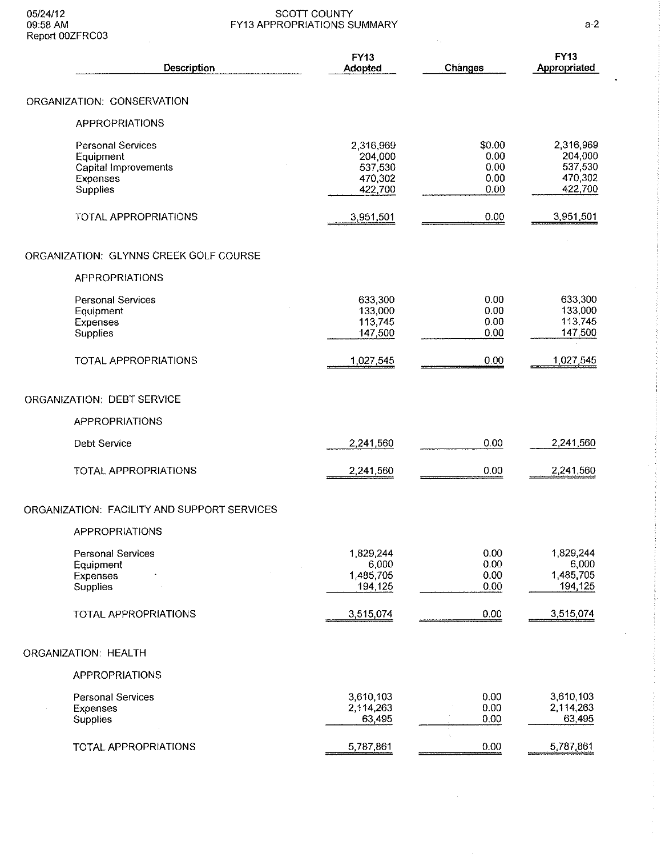#### 05/24/12 SCOTT COUNTY 09:58 AM FY13 APPROPRIATIONS SUMMARY a-2

| Report UUZFRCU3                                                                       |                                                       |                                        |                                                       |
|---------------------------------------------------------------------------------------|-------------------------------------------------------|----------------------------------------|-------------------------------------------------------|
| Description                                                                           | FY13<br>Adopted                                       | Changes                                | <b>FY13</b><br>Appropriated                           |
| ORGANIZATION: CONSERVATION                                                            |                                                       |                                        |                                                       |
| <b>APPROPRIATIONS</b>                                                                 |                                                       |                                        |                                                       |
| <b>Personal Services</b><br>Equipment<br>Capital Improvements<br>Expenses<br>Supplies | 2,316,969<br>204,000<br>537,530<br>470,302<br>422,700 | \$0.00<br>0.00<br>0.00<br>0.00<br>0.00 | 2 316 969<br>204 000<br>537,530<br>470,302<br>422,700 |
| TOTAL APPROPRIATIONS                                                                  | 3,951,501                                             | 0.00                                   | 3,951,501                                             |
| ORGANIZATION: GLYNNS CREEK GOLF COURSE                                                |                                                       |                                        |                                                       |
| <b>APPROPRIATIONS</b>                                                                 |                                                       |                                        |                                                       |
| <b>Personal Services</b><br>Equipment<br>Expenses<br>Supplies                         | 633,300<br>133,000<br>113,745<br>147,500              | 0.00<br>0.00<br>0.00<br>0.00           | 633,300<br>133,000<br>113,745<br>147,500              |
| TOTAL APPROPRIATIONS                                                                  | 1,027,545                                             | 0.00                                   | 1,027,545                                             |
| ORGANIZATION: DEBT SERVICE                                                            |                                                       |                                        |                                                       |
| <b>APPROPRIATIONS</b>                                                                 |                                                       |                                        |                                                       |
| Debt Service                                                                          | 2,241,560                                             | 0.00                                   | 2,241,560                                             |
| TOTAL APPROPRIATIONS                                                                  | 2,241,560                                             | 0.00                                   | 2,241,560                                             |
| ORGANIZATION: FACILITY AND SUPPORT SERVICES                                           |                                                       |                                        |                                                       |
| <b>APPROPRIATIONS</b>                                                                 |                                                       |                                        |                                                       |
| <b>Personal Services</b><br>Equipment<br>Expenses<br>Supplies                         | 1,829,244<br>6,000<br>1,485,705<br>194,125            | 0.00<br>0.00<br>0.00<br>0.00           | 1,829,244<br>6,000<br>1,485,705<br>194,125            |
| TOTAL APPROPRIATIONS                                                                  | 3,515,074                                             | 0.00                                   | 3,515,074                                             |
| ORGANIZATION: HEALTH                                                                  |                                                       |                                        |                                                       |
| <b>APPROPRIATIONS</b>                                                                 |                                                       |                                        |                                                       |
| <b>Personal Services</b><br>Expenses<br>Supplies                                      | 3,610,103<br>2,114,263<br>63,495                      | 0.00<br>0.00<br>0.00                   | 3,610,103<br>2,114,263<br>63,495                      |
| TOTAL APPROPRIATIONS                                                                  | 5,787,861                                             | 0.00                                   | 5,787,861                                             |

 $\ddot{\phantom{0}}$ 

 $\cdot$ 

 $\bar{\gamma}$ 

 $\bar{z}$  $\frac{1}{2}$  $\hat{\boldsymbol{\beta}}$  $\hat{\boldsymbol{\beta}}$ 

 $\sim 10^{-1}$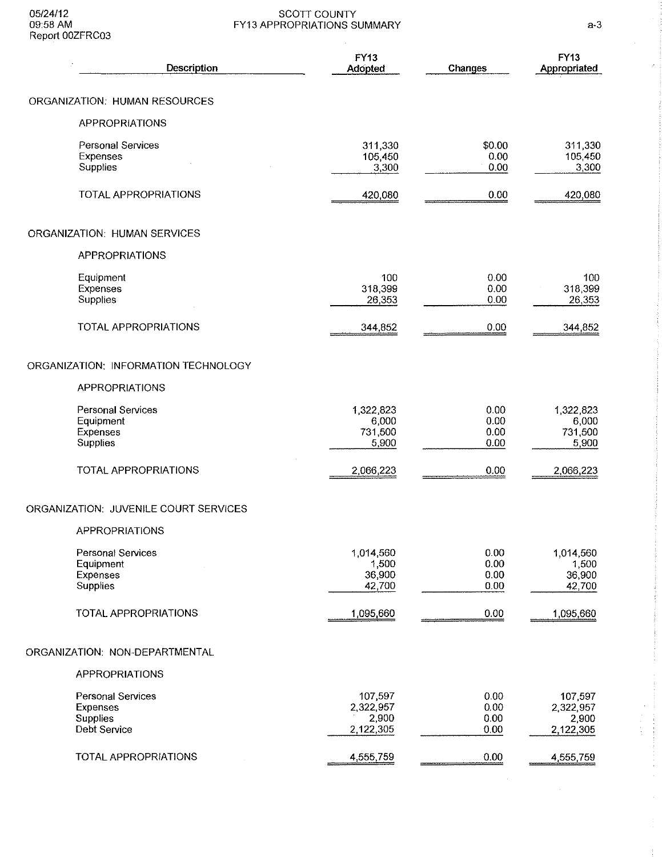#### 05/24/12 SCOTT COUNTY 09:58AM FY13 APPROPRIATIONS SUMMARY a·3

| Description                                                                    | FY13<br>Adopted                            | Changes                      | <b>FY13</b><br>Appropriated                |
|--------------------------------------------------------------------------------|--------------------------------------------|------------------------------|--------------------------------------------|
| <b>ORGANIZATION: HUMAN RESOURCES</b>                                           |                                            |                              |                                            |
| <b>APPROPRIATIONS</b>                                                          |                                            |                              |                                            |
| Personal Services<br>Expenses<br>Supplies                                      | 311,330<br>105 450<br>3,300                | \$0.00<br>0.00<br>0.00       | 311,330<br>105,450<br>3,300                |
| TOTAL APPROPRIATIONS                                                           | 420,080                                    | 0.00                         | 420,080                                    |
| <b>ORGANIZATION: HUMAN SERVICES</b>                                            |                                            |                              |                                            |
| <b>APPROPRIATIONS</b>                                                          |                                            |                              |                                            |
| Equipment<br>Expenses<br>Supplies                                              | 100<br>318,399<br>26,353                   | 0.00<br>0.00<br>0.00         | 100<br>318,399<br>26,353                   |
| TOTAL APPROPRIATIONS                                                           | 344,852                                    | 0.00                         | 344,852                                    |
| ORGANIZATION: INFORMATION TECHNOLOGY                                           |                                            |                              |                                            |
| APPROPRIATIONS                                                                 |                                            |                              |                                            |
| <b>Personal Services</b><br>Equipment<br>Expenses<br>Supplies                  | 1,322,823<br>6,000<br>731,500<br>5,900     | 0.00<br>0.00<br>0.00<br>0.00 | 1,322,823<br>6,000<br>731,500<br>5,900     |
| TOTAL APPROPRIATIONS                                                           | 2,066,223                                  | 0.00                         | 2,066,223                                  |
| ORGANIZATION: JUVENILE COURT SERVICES                                          |                                            |                              |                                            |
| APPROPRIATIONS                                                                 |                                            |                              |                                            |
| <b>Personal Services</b><br>Equipment<br>Expenses<br>Supplies                  | 1,014,560<br>1,500<br>36,900<br>42,700     | 0.00<br>0.00<br>0.00<br>0.00 | 1,014,560<br>1,500<br>36,900<br>42,700     |
| TOTAL APPROPRIATIONS                                                           | 1,095,660                                  | 0.00                         | 1,095,660                                  |
| ORGANIZATION: NON-DEPARTMENTAL                                                 |                                            |                              |                                            |
| <b>APPROPRIATIONS</b>                                                          |                                            |                              |                                            |
| <b>Personal Services</b><br>Expenses<br><b>Supplies</b><br><b>Debt Service</b> | 107,597<br>2,322,957<br>2,900<br>2,122,305 | 0.00<br>0.00<br>0.00<br>0.00 | 107,597<br>2,322,957<br>2,900<br>2,122,305 |
| TOTAL APPROPRIATIONS                                                           | 4,555,759                                  | 0.00                         | 4,555,759                                  |

 $\bar{\lambda}$ 

 $\hat{\mathcal{A}}$ 

 $\frac{1}{2}$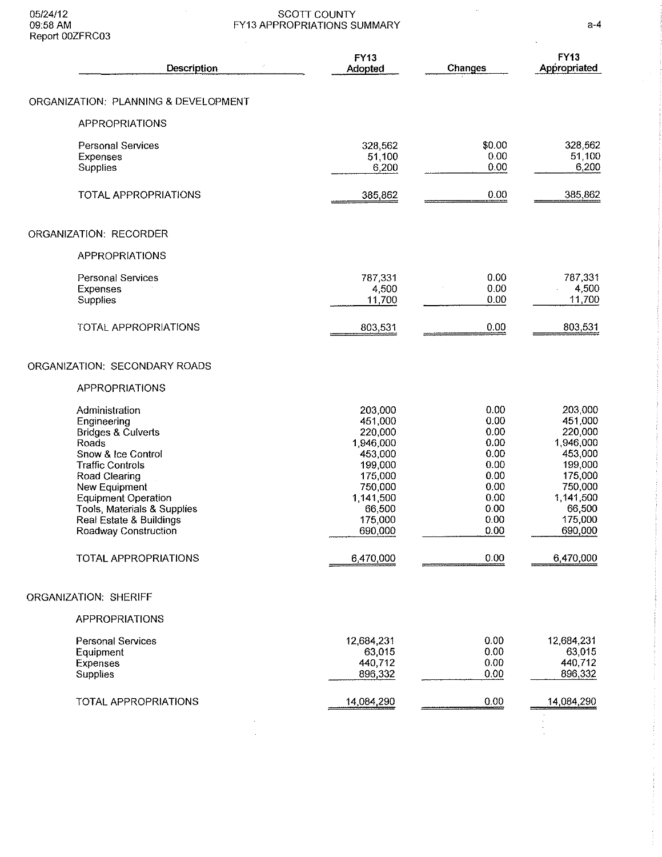#### 05/24/12 SCOTT COUNTY 09:58AM FY13 APPROPRIATIONS SUMMARY a-4

| Report UUZFRUU3                                                                                                                                                                                                                                                            |                                                                                                                                     |                                                                                              |                                                                                                                                     |
|----------------------------------------------------------------------------------------------------------------------------------------------------------------------------------------------------------------------------------------------------------------------------|-------------------------------------------------------------------------------------------------------------------------------------|----------------------------------------------------------------------------------------------|-------------------------------------------------------------------------------------------------------------------------------------|
| Description                                                                                                                                                                                                                                                                | <b>FY13</b><br>Adopted                                                                                                              | Changes                                                                                      | <b>FY13</b><br>Appropriated                                                                                                         |
| ORGANIZATION: PLANNING & DEVELOPMENT                                                                                                                                                                                                                                       |                                                                                                                                     |                                                                                              |                                                                                                                                     |
| <b>APPROPRIATIONS</b>                                                                                                                                                                                                                                                      |                                                                                                                                     |                                                                                              |                                                                                                                                     |
| <b>Personal Services</b><br><b>Expenses</b><br>Supplies                                                                                                                                                                                                                    | 328,562<br>51,100<br>6,200                                                                                                          | \$0.00<br>0.00<br>0.00                                                                       | 328,562<br>51,100<br>6,200                                                                                                          |
| <b>TOTAL APPROPRIATIONS</b>                                                                                                                                                                                                                                                | 385,862                                                                                                                             | 0.00                                                                                         | 385,862                                                                                                                             |
| ORGANIZATION: RECORDER                                                                                                                                                                                                                                                     |                                                                                                                                     |                                                                                              |                                                                                                                                     |
| <b>APPROPRIATIONS</b>                                                                                                                                                                                                                                                      |                                                                                                                                     |                                                                                              |                                                                                                                                     |
| <b>Personal Services</b><br><b>Expenses</b><br>Supplies                                                                                                                                                                                                                    | 787,331<br>4,500<br>11,700                                                                                                          | 0.00<br>0.00<br>0.00                                                                         | 787,331<br>4,500<br>11,700                                                                                                          |
| TOTAL APPROPRIATIONS                                                                                                                                                                                                                                                       | 803,531                                                                                                                             | 0.00                                                                                         | 803,531                                                                                                                             |
| ORGANIZATION: SECONDARY ROADS                                                                                                                                                                                                                                              |                                                                                                                                     |                                                                                              |                                                                                                                                     |
| <b>APPROPRIATIONS</b>                                                                                                                                                                                                                                                      |                                                                                                                                     |                                                                                              |                                                                                                                                     |
| Administration<br>Engineering<br><b>Bridges &amp; Culverts</b><br>Roads<br>Snow & Ice Control<br><b>Traffic Controls</b><br>Road Clearing<br>New Equipment<br><b>Equipment Operation</b><br>Tools, Materials & Supplies<br>Real Estate & Buildings<br>Roadway Construction | 203,000<br>451,000<br>220,000<br>1,946,000<br>453,000<br>199,000<br>175,000<br>750,000<br>1,141,500<br>66,500<br>175,000<br>690,000 | 0.00<br>0.00<br>0.00<br>0.00<br>0.00<br>0.00<br>0.00<br>0.00<br>0.00<br>0.00<br>0.00<br>0.00 | 203,000<br>451,000<br>220,000<br>1,946,000<br>453,000<br>199,000<br>175,000<br>750,000<br>1,141,500<br>66,500<br>175,000<br>690,000 |
| TOTAL APPROPRIATIONS                                                                                                                                                                                                                                                       | 6,470,000                                                                                                                           | 0.00                                                                                         | 6,470,000                                                                                                                           |
| <b>ORGANIZATION: SHERIFF</b>                                                                                                                                                                                                                                               |                                                                                                                                     |                                                                                              |                                                                                                                                     |
| <b>APPROPRIATIONS</b>                                                                                                                                                                                                                                                      |                                                                                                                                     |                                                                                              |                                                                                                                                     |
| Personal Services<br>Equipment<br>Expenses<br>Supplies                                                                                                                                                                                                                     | 12,684,231<br>63,015<br>440,712<br>896,332                                                                                          | 0.00<br>0.00<br>0.00<br>0.00                                                                 | 12,684,231<br>63,015<br>440,712<br>896,332                                                                                          |
| TOTAL APPROPRIATIONS                                                                                                                                                                                                                                                       | 14,084,290                                                                                                                          | 0.00                                                                                         | 14,084,290                                                                                                                          |
|                                                                                                                                                                                                                                                                            |                                                                                                                                     |                                                                                              |                                                                                                                                     |

 $\frac{1}{2} \frac{1}{2} \frac{1}{2} \frac{1}{2} \frac{1}{2} \frac{1}{2} \frac{1}{2} \frac{1}{2} \frac{1}{2} \frac{1}{2} \frac{1}{2} \frac{1}{2} \frac{1}{2} \frac{1}{2} \frac{1}{2} \frac{1}{2} \frac{1}{2} \frac{1}{2} \frac{1}{2} \frac{1}{2} \frac{1}{2} \frac{1}{2} \frac{1}{2} \frac{1}{2} \frac{1}{2} \frac{1}{2} \frac{1}{2} \frac{1}{2} \frac{1}{2} \frac{1}{2} \frac{1}{2} \frac{$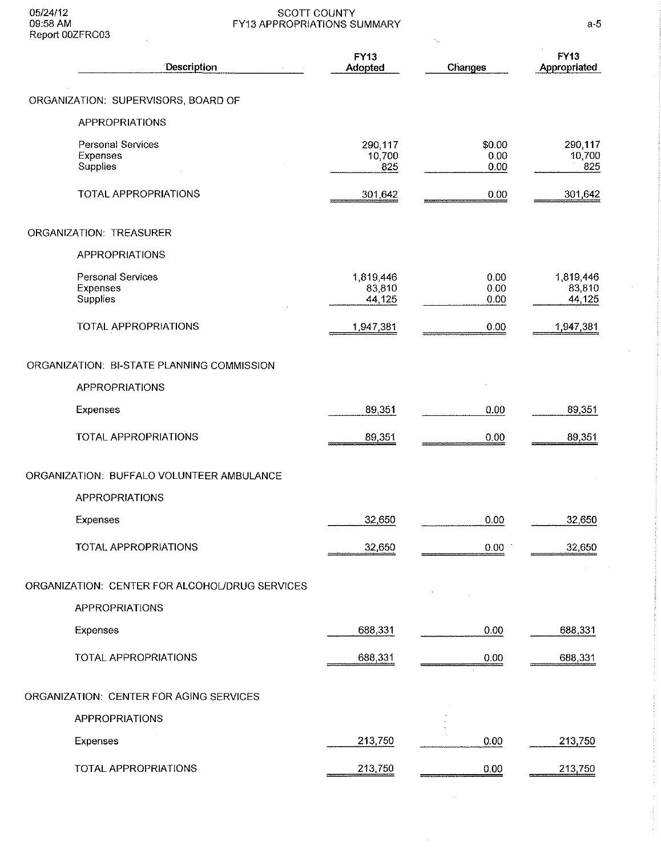#### 05/24/12 SCOTT COUNTY 09:58 AM FY13 APPROPRIATIONS SUMMARY a-5

| Report UUZFRC03                                  |                               |                        |                               |
|--------------------------------------------------|-------------------------------|------------------------|-------------------------------|
| Description                                      | FY13<br>Adopted               | Changes                | <b>FY13</b><br>Appropriated   |
| ORGANIZATION: SUPERVISORS, BOARD OF              |                               |                        |                               |
| <b>APPROPRIATIONS</b>                            |                               |                        |                               |
| Personal Services<br>Expenses<br>Supplies        | 290,117<br>10,700<br>825      | \$0.00<br>0.00<br>0.00 | 290,117<br>10,700<br>825      |
| TOTAL APPROPRIATIONS                             | 301 642                       | 0.00                   | 301,642                       |
| ORGANIZATION: TREASURER                          |                               |                        |                               |
| <b>APPROPRIATIONS</b>                            |                               |                        |                               |
| <b>Personal Services</b><br>Expenses<br>Supplies | 1,819,446<br>83,810<br>44,125 | 0.00<br>0.00<br>0.00   | 1,819,446<br>83,810<br>44,125 |
| TOTAL APPROPRIATIONS                             | 1,947,381                     | 0.00                   | 1 947 381                     |
| ORGANIZATION: BI-STATE PLANNING COMMISSION       |                               |                        |                               |
| <b>APPROPRIATIONS</b>                            |                               |                        |                               |
| Expenses                                         | 89,351                        | 0.00                   | 89,351                        |
| TOTAL APPROPRIATIONS                             | 89,351                        | 0.00                   | 89,351                        |
| ORGANIZATION: BUFFALO VOLUNTEER AMBULANCE        |                               |                        |                               |
| <b>APPROPRIATIONS</b>                            |                               |                        |                               |
| <b>Expenses</b>                                  | 32,650                        | 0.00                   | 32,650                        |
| TOTAL APPROPRIATIONS                             | 32,650                        | 0.00                   | 32,650                        |
| ORGANIZATION: CENTER FOR ALCOHOL/DRUG SERVICES   |                               |                        |                               |
| <b>APPROPRIATIONS</b>                            |                               |                        |                               |
| Expenses                                         | 688,331                       | 0.00                   | 688,331                       |
| TOTAL APPROPRIATIONS                             | 688,331                       | 0.00                   | 688,331                       |
| ORGANIZATION: CENTER FOR AGING SERVICES          |                               |                        |                               |
| <b>APPROPRIATIONS</b>                            |                               |                        |                               |
| Expenses                                         | 213,750                       | 0.00                   | 213,750                       |
| <b>TOTAL APPROPRIATIONS</b>                      | 213,750                       | 0.00                   | 213,750                       |

 $\bar{z}$ 

 $\sim$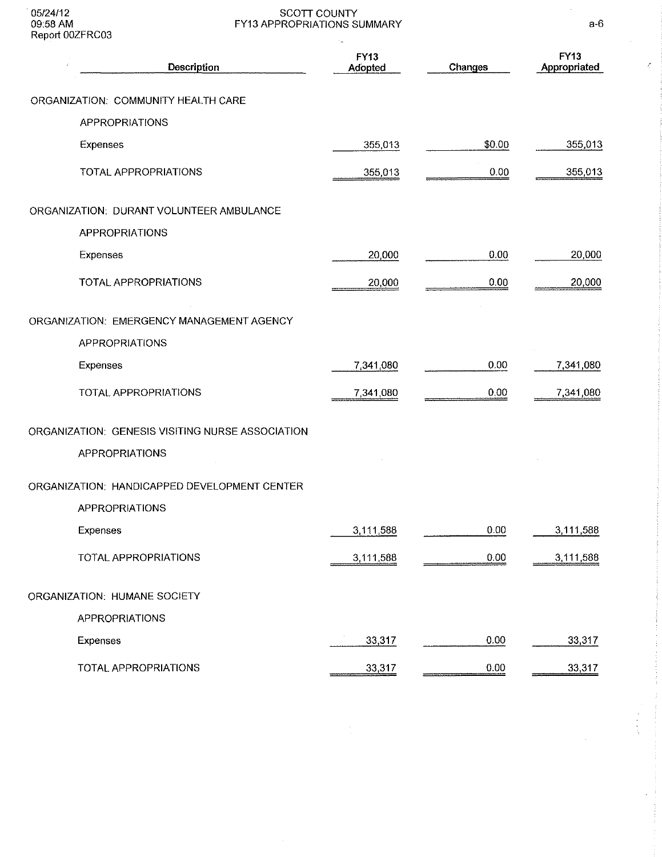#### 05/24/12 SCOTT COUNTY  $09:58$  AM  $\blacksquare$   $\blacksquare$   $\blacksquare$   $\blacksquare$   $\blacksquare$   $\blacksquare$   $\blacksquare$   $\blacksquare$   $\blacksquare$   $\blacksquare$   $\blacksquare$   $\blacksquare$   $\blacksquare$   $\blacksquare$   $\blacksquare$   $\blacksquare$   $\blacksquare$   $\blacksquare$   $\blacksquare$   $\blacksquare$   $\blacksquare$   $\blacksquare$   $\blacksquare$   $\blacksquare$   $\blacksquare$   $\blacksquare$   $\blacksquare$   $\blacksquare$   $\blacksquare$   $\blacksquare$

| Report UUZFRUUS                                  | ٠.                            |         |                      |
|--------------------------------------------------|-------------------------------|---------|----------------------|
| Description                                      | <b>FY13</b><br><b>Adopted</b> | Changes | FY13<br>Appropriated |
| ORGANIZATION: COMMUNITY HEALTH CARE              |                               |         |                      |
| <b>APPROPRIATIONS</b>                            |                               |         |                      |
| Expenses                                         | 355,013                       | \$0.00  | 355,013              |
| TOTAL APPROPRIATIONS                             | 355,013                       | 0.00    | 355,013              |
| ORGANIZATION: DURANT VOLUNTEER AMBULANCE         |                               |         |                      |
| <b>APPROPRIATIONS</b>                            |                               |         |                      |
| Expenses                                         | 20,000                        | 0.00    | 20,000               |
| TOTAL APPROPRIATIONS                             | 20,000                        | 0.00    | 20,000               |
| ORGANIZATION: EMERGENCY MANAGEMENT AGENCY        |                               |         |                      |
| <b>APPROPRIATIONS</b>                            |                               |         |                      |
| Expenses                                         | 7,341,080                     | 0.00    | 7,341,080            |
| TOTAL APPROPRIATIONS                             | 7,341,080                     | 0.00    | 7,341,080            |
| ORGANIZATION: GENESIS VISITING NURSE ASSOCIATION |                               |         |                      |
| <b>APPROPRIATIONS</b>                            |                               |         |                      |
| ORGANIZATION: HANDICAPPED DEVELOPMENT CENTER     |                               |         |                      |
| APPROPRIATIONS                                   |                               |         |                      |
| <b>Expenses</b>                                  | 3,111,588                     | 0.00    | 3,111,588            |
| TOTAL APPROPRIATIONS                             | 3,111,588                     | 0.00    | 3,111,588            |
| ORGANIZATION: HUMANE SOCIETY                     |                               |         |                      |
| <b>APPROPRIATIONS</b>                            |                               |         |                      |
| Expenses                                         | 33,317                        | 0.00    | 33,317               |
| TOTAL APPROPRIATIONS                             | 33,317                        | 0.00    | 33,317               |

 $\frac{1}{\alpha}$ 

 $\bar{\mathcal{L}}$ 

 $\bar{z}$ 

 $\bar{\beta}$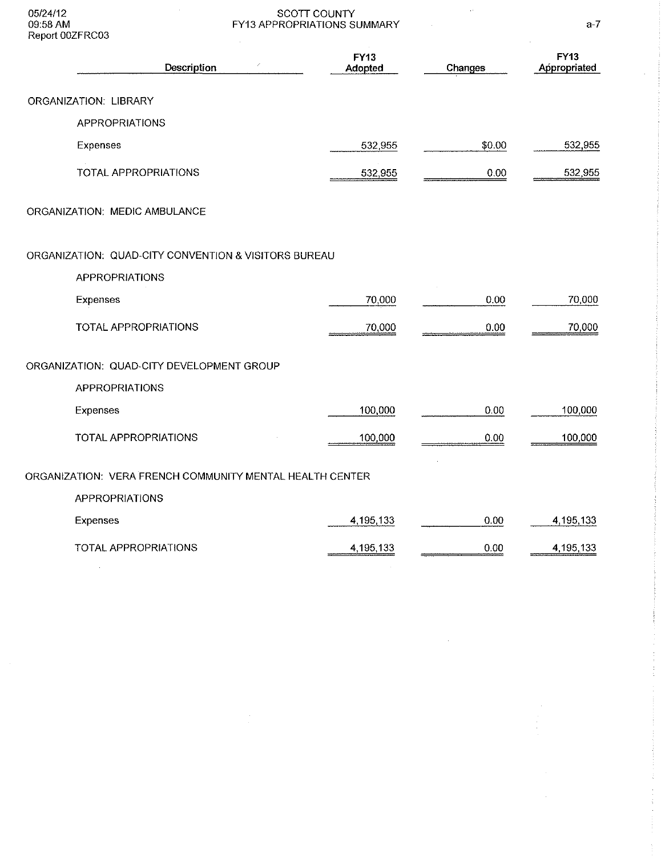05/24/12 09:58 AM Report 00ZFRC03

 $\mathcal{A}^{\mathcal{A}}$ 

 $\frac{1}{2}$ 

#### SCOTT COUNTY FY13 APPROPRIATIONS SUMMARY

| Description                                              | FY13<br>Adopted | Changes | <b>FY13</b><br>Appropriated |
|----------------------------------------------------------|-----------------|---------|-----------------------------|
| ORGANIZATION: LIBRARY                                    |                 |         |                             |
| <b>APPROPRIATIONS</b>                                    |                 |         |                             |
| Expenses                                                 | 532,955         | \$0.00  | 532,955                     |
| TOTAL APPROPRIATIONS                                     | 532,955         | 0.00    | 532,955                     |
| ORGANIZATION: MEDIC AMBULANCE                            |                 |         |                             |
| ORGANIZATION: QUAD-CITY CONVENTION & VISITORS BUREAU     |                 |         |                             |
| <b>APPROPRIATIONS</b>                                    |                 |         |                             |
| Expenses                                                 | 70,000          | 0.00    | 70,000                      |
| TOTAL APPROPRIATIONS                                     | 70,000          | 0.00    | 70,000                      |
| ORGANIZATION: QUAD-CITY DEVELOPMENT GROUP                |                 |         |                             |
| <b>APPROPRIATIONS</b>                                    |                 |         |                             |
| Expenses                                                 | 100,000         | 0.00    | 100,000                     |
| TOTAL APPROPRIATIONS                                     | 100,000         | 0.00    | 100,000                     |
| ORGANIZATION: VERA FRENCH COMMUNITY MENTAL HEALTH CENTER |                 |         |                             |
| <b>APPROPRIATIONS</b>                                    |                 |         |                             |
| Expenses                                                 | 4,195,133       | 0.00    | 4, 195, 133                 |
| TOTAL APPROPRIATIONS<br>$\sim$                           | 4,195,133       | 0.00    | 4,195,133                   |

a-7

l.

Ĵ, 

 $\frac{1}{2}$ 

 $\frac{1}{\sqrt{2}}$ 

 $\mathcal{L}_{\rm{in}}$ 

 $\sim 10^7$ 

 $\bar{z}$